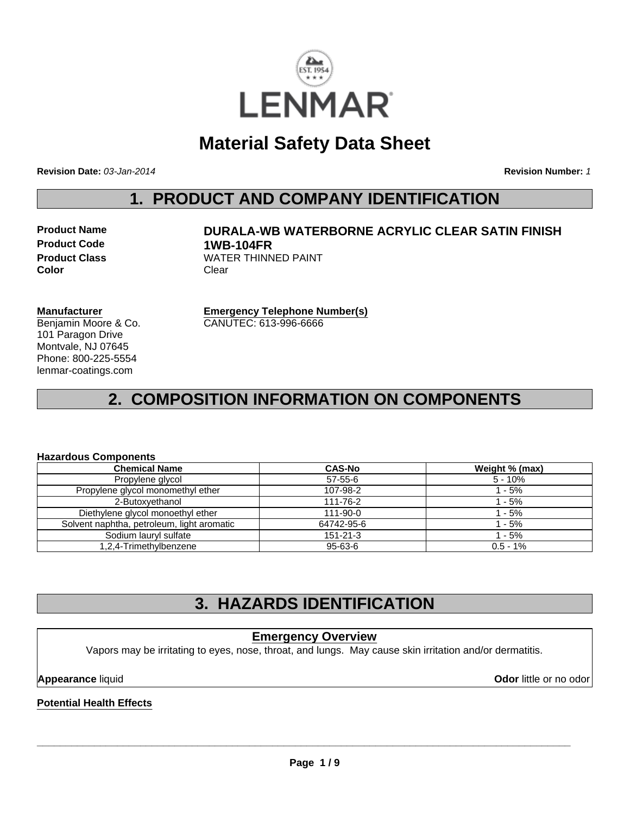

# **Material Safety Data Sheet**

**Revision Date:** *03-Jan-2014*

**Revision Number:** *1*

## **1. PRODUCT AND COMPANY IDENTIFICATION**

**Product Code 1WB-104FR Color** Clear

# **Product Name DURALA-WB WATERBORNE ACRYLIC CLEAR SATIN FINISH Product Class WATER THINNED PAINT**

#### **Manufacturer**

Benjamin Moore & Co. 101 Paragon Drive Montvale, NJ 07645 Phone: 800-225-5554 lenmar-coatings.com

**Emergency Telephone Number(s)** CANUTEC: 613-996-6666

# **2. COMPOSITION INFORMATION ON COMPONENTS**

#### **Hazardous Components**

| <b>Chemical Name</b>                       | <b>CAS-No</b>  | Weight % (max) |
|--------------------------------------------|----------------|----------------|
| Propylene glycol                           | $57-55-6$      | 5 - 10%        |
| Propylene glycol monomethyl ether          | 107-98-2       | $1 - 5%$       |
| 2-Butoxyethanol                            | 111-76-2       | $1 - 5%$       |
| Diethylene glycol monoethyl ether          | $111 - 90 - 0$ | 1 - 5%         |
| Solvent naphtha, petroleum, light aromatic | 64742-95-6     | 1 - 5%         |
| Sodium lauryl sulfate                      | $151 - 21 - 3$ | 1 - 5%         |
| 1,2,4-Trimethylbenzene                     | 95-63-6        | $0.5 - 1%$     |

# **3. HAZARDS IDENTIFICATION**

### **Emergency Overview**

Vapors may be irritating to eyes, nose, throat, and lungs. May cause skin irritation and/or dermatitis.

**Appearance** liquid **Odor** little or no odor

#### **Potential Health Effects**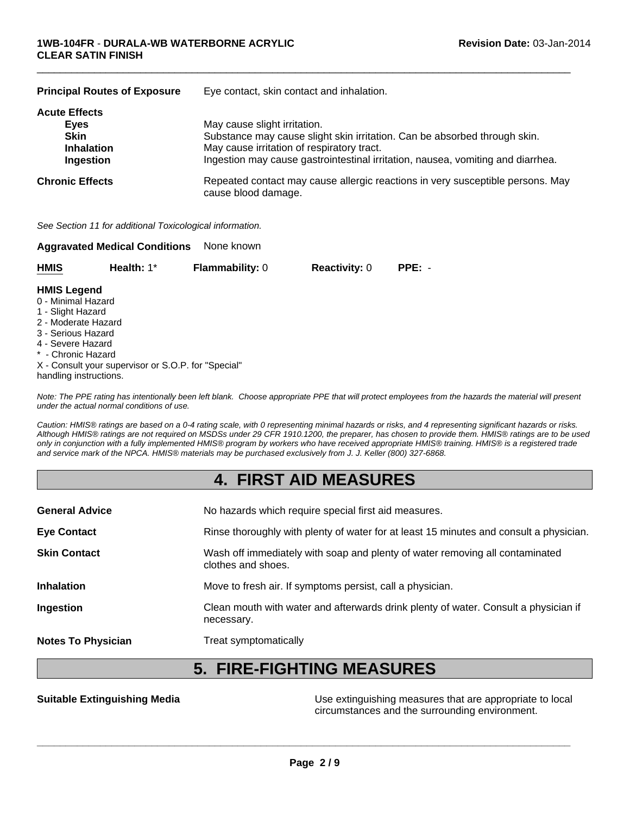| <b>Principal Routes of Exposure</b>                                           | Eye contact, skin contact and inhalation.                                                                                                                                                                                                  |  |
|-------------------------------------------------------------------------------|--------------------------------------------------------------------------------------------------------------------------------------------------------------------------------------------------------------------------------------------|--|
| <b>Acute Effects</b><br>Eyes<br><b>Skin</b><br><b>Inhalation</b><br>Ingestion | May cause slight irritation.<br>Substance may cause slight skin irritation. Can be absorbed through skin.<br>May cause irritation of respiratory tract.<br>Ingestion may cause gastrointestinal irritation, nausea, vomiting and diarrhea. |  |
| <b>Chronic Effects</b>                                                        | Repeated contact may cause allergic reactions in very susceptible persons. May<br>cause blood damage.                                                                                                                                      |  |

 $\Box$ 

*See Section 11 for additional Toxicological information.*

|             | <b>Aggravated Medical Conditions</b> | None known             |                      |        |
|-------------|--------------------------------------|------------------------|----------------------|--------|
| <b>HMIS</b> | Health: $1^*$                        | <b>Flammability: 0</b> | <b>Reactivity: 0</b> | PPE: - |

#### **HMIS Legend**

- 0 Minimal Hazard
- 1 Slight Hazard
- 2 Moderate Hazard
- 3 Serious Hazard
- 4 Severe Hazard
- Chronic Hazard
- X Consult your supervisor or S.O.P. for "Special"
- handling instructions.

*Note: The PPE rating has intentionally been left blank. Choose appropriate PPE that will protect employees from the hazards the material will present under the actual normal conditions of use.*

*Caution: HMIS® ratings are based on a 0-4 rating scale, with 0 representing minimal hazards or risks, and 4 representing significant hazards or risks. Although HMIS® ratings are not required on MSDSs under 29 CFR 1910.1200, the preparer, has chosen to provide them. HMIS® ratings are to be used only in conjunction with a fully implemented HMIS® program by workers who have received appropriate HMIS® training. HMIS® is a registered trade and service mark of the NPCA. HMIS® materials may be purchased exclusively from J. J. Keller (800) 327-6868.*

# **4. FIRST AID MEASURES**

| <b>General Advice</b>     | No hazards which require special first aid measures.                                               |
|---------------------------|----------------------------------------------------------------------------------------------------|
| <b>Eye Contact</b>        | Rinse thoroughly with plenty of water for at least 15 minutes and consult a physician.             |
| <b>Skin Contact</b>       | Wash off immediately with soap and plenty of water removing all contaminated<br>clothes and shoes. |
| <b>Inhalation</b>         | Move to fresh air. If symptoms persist, call a physician.                                          |
| Ingestion                 | Clean mouth with water and afterwards drink plenty of water. Consult a physician if<br>necessary.  |
| <b>Notes To Physician</b> | Treat symptomatically                                                                              |

# **5. FIRE-FIGHTING MEASURES**

**Suitable Extinguishing Media** Media **Network Communist Constant Constant Constant Constant Constant Constant Const** circumstances and the surrounding environment.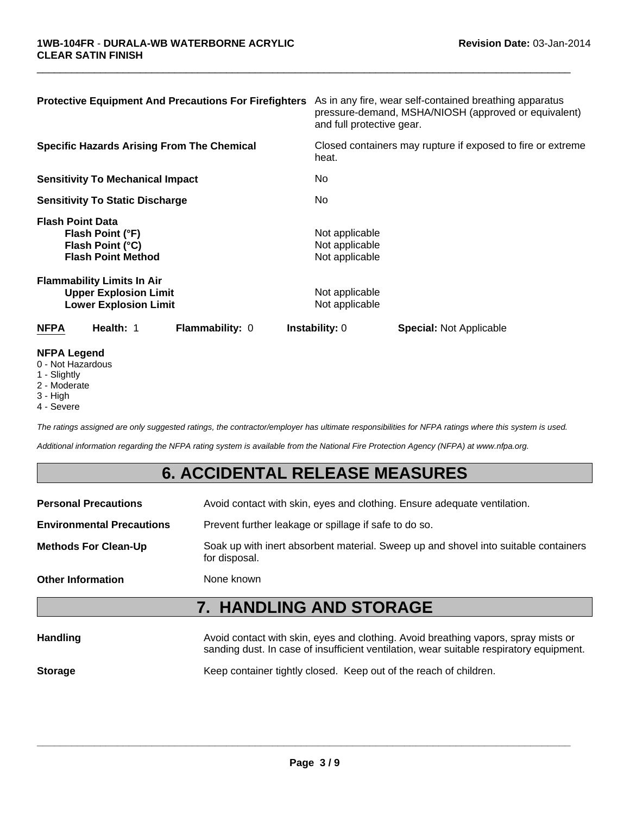| <b>Protective Equipment And Precautions For Firefighters</b>                                      | As in any fire, wear self-contained breathing apparatus<br>pressure-demand, MSHA/NIOSH (approved or equivalent)<br>and full protective gear. |
|---------------------------------------------------------------------------------------------------|----------------------------------------------------------------------------------------------------------------------------------------------|
| <b>Specific Hazards Arising From The Chemical</b>                                                 | Closed containers may rupture if exposed to fire or extreme<br>heat.                                                                         |
| <b>Sensitivity To Mechanical Impact</b>                                                           | No.                                                                                                                                          |
| <b>Sensitivity To Static Discharge</b>                                                            | No.                                                                                                                                          |
| <b>Flash Point Data</b><br>Flash Point (°F)<br>Flash Point (°C)<br><b>Flash Point Method</b>      | Not applicable<br>Not applicable<br>Not applicable                                                                                           |
| <b>Flammability Limits In Air</b><br><b>Upper Explosion Limit</b><br><b>Lower Explosion Limit</b> | Not applicable<br>Not applicable                                                                                                             |
| Health: 1<br><b>NFPA</b><br><b>Flammability: 0</b>                                                | <b>Instability: 0</b><br><b>Special:</b> Not Applicable                                                                                      |

 $\Box$ 

#### **NFPA Legend**

- 0 Not Hazardous
- 1 Slightly
- 2 Moderate
- 3 High
- 4 Severe

*The ratings assigned are only suggested ratings, the contractor/employer has ultimate responsibilities for NFPA ratings where this system is used.*

*Additional information regarding the NFPA rating system is available from the National Fire Protection Agency (NFPA) at www.nfpa.org.*

# **6. ACCIDENTAL RELEASE MEASURES**

| <b>Handling</b>                  | Avoid contact with skin, eyes and clothing. Avoid breathing vapors, spray mists or                   |  |
|----------------------------------|------------------------------------------------------------------------------------------------------|--|
|                                  | <b>7. HANDLING AND STORAGE</b>                                                                       |  |
| <b>Other Information</b>         | None known                                                                                           |  |
| <b>Methods For Clean-Up</b>      | Soak up with inert absorbent material. Sweep up and shovel into suitable containers<br>for disposal. |  |
| <b>Environmental Precautions</b> | Prevent further leakage or spillage if safe to do so.                                                |  |
| <b>Personal Precautions</b>      | Avoid contact with skin, eyes and clothing. Ensure adequate ventilation.                             |  |

| панишу         | AVUJU CUTRACI WILLI SNIFI, EYES AHU CIULIHIY. AVUJU DIEALHIIY VADULS, SPIAY HIISIS UL<br>sanding dust. In case of insufficient ventilation, wear suitable respiratory equipment. |
|----------------|----------------------------------------------------------------------------------------------------------------------------------------------------------------------------------|
| <b>Storage</b> | Keep container tightly closed. Keep out of the reach of children.                                                                                                                |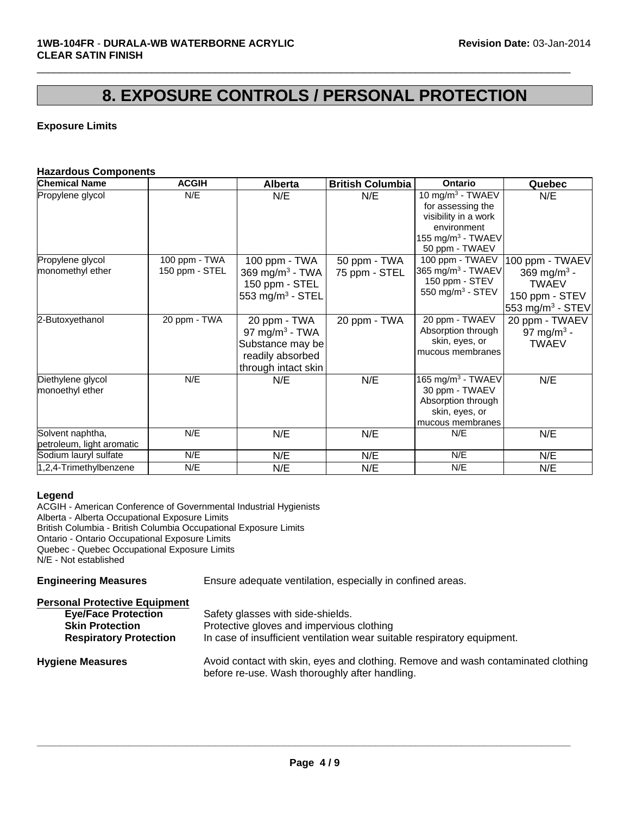# **8. EXPOSURE CONTROLS / PERSONAL PROTECTION**

 $\Box$ 

### **Exposure Limits**

#### **Hazardous Components**

| <b>Chemical Name</b>      | <b>ACGIH</b>   | <b>Alberta</b>               | <b>British Columbia</b> | <b>Ontario</b>                | Quebec                       |
|---------------------------|----------------|------------------------------|-------------------------|-------------------------------|------------------------------|
| Propylene glycol          | N/E            | N/E                          | N/E                     | 10 mg/m <sup>3</sup> - TWAEV  | N/E                          |
|                           |                |                              |                         | for assessing the             |                              |
|                           |                |                              |                         | visibility in a work          |                              |
|                           |                |                              |                         | environment                   |                              |
|                           |                |                              |                         | 155 mg/m $3$ - TWAEV          |                              |
|                           |                |                              |                         | 50 ppm - TWAEV                |                              |
| Propylene glycol          | 100 ppm - TWA  | 100 ppm - TWA                | 50 ppm - TWA            | 100 ppm - TWAEV               | 100 ppm - TWAEV              |
| monomethyl ether          | 150 ppm - STEL | 369 mg/m <sup>3</sup> - TWA  | 75 ppm - STEL           | 365 mg/m <sup>3</sup> - TWAEV | 369 mg/m <sup>3</sup> -      |
|                           |                | 150 ppm - STEL               |                         | 150 ppm - STEV                | <b>TWAEV</b>                 |
|                           |                | 553 mg/m <sup>3</sup> - STEL |                         | 550 mg/m <sup>3</sup> - STEV  | 150 ppm - STEV               |
|                           |                |                              |                         |                               | 553 mg/m <sup>3</sup> - STEV |
| 2-Butoxyethanol           | 20 ppm - TWA   | 20 ppm - TWA                 | 20 ppm - TWA            | 20 ppm - TWAEV                | 20 ppm - TWAEV               |
|                           |                | 97 mg/m <sup>3</sup> - TWA   |                         | Absorption through            | 97 mg/m <sup>3</sup> -       |
|                           |                | Substance may be             |                         | skin, eyes, or                | <b>TWAEV</b>                 |
|                           |                | readily absorbed             |                         | mucous membranes              |                              |
|                           |                | through intact skin          |                         |                               |                              |
| Diethylene glycol         | N/E            | N/E                          | N/E                     | 165 mg/m <sup>3</sup> - TWAEV | N/E                          |
| monoethyl ether           |                |                              |                         | 30 ppm - TWAEV                |                              |
|                           |                |                              |                         | Absorption through            |                              |
|                           |                |                              |                         | skin, eyes, or                |                              |
|                           |                |                              |                         | mucous membranes              |                              |
| Solvent naphtha,          | N/E            | N/E                          | N/E                     | N/E                           | N/E                          |
| petroleum, light aromatic |                |                              |                         |                               |                              |
| Sodium lauryl sulfate     | N/E            | N/E                          | N/E                     | N/E                           | N/E                          |
| 1,2,4-Trimethylbenzene    | N/E            | N/E                          | N/E                     | N/E                           | N/E                          |

#### **Legend**

ACGIH - American Conference of Governmental Industrial Hygienists Alberta - Alberta Occupational Exposure Limits British Columbia - British Columbia Occupational Exposure Limits Ontario - Ontario Occupational Exposure Limits Quebec - Quebec Occupational Exposure Limits N/E - Not established

**Engineering Measures** Ensure adequate ventilation, especially in confined areas.

| <b>Personal Protective Equipment</b> |                                                                                                                                     |
|--------------------------------------|-------------------------------------------------------------------------------------------------------------------------------------|
| <b>Eye/Face Protection</b>           | Safety glasses with side-shields.                                                                                                   |
| <b>Skin Protection</b>               | Protective gloves and impervious clothing                                                                                           |
| <b>Respiratory Protection</b>        | In case of insufficient ventilation wear suitable respiratory equipment.                                                            |
| <b>Hygiene Measures</b>              | Avoid contact with skin, eyes and clothing. Remove and wash contaminated clothing<br>before re-use. Wash thoroughly after handling. |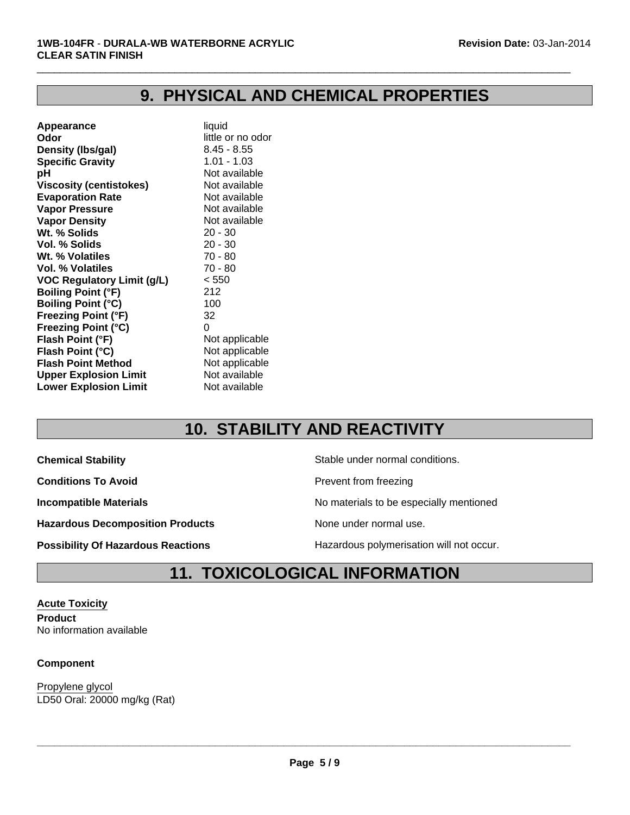# **9. PHYSICAL AND CHEMICAL PROPERTIES**

 $\Box$ 

| Appearance                        | liquid            |
|-----------------------------------|-------------------|
| Odor                              | little or no odor |
| Density (Ibs/gal)                 | $8.45 - 8.55$     |
| <b>Specific Gravity</b>           | $1.01 - 1.03$     |
| рH                                | Not available     |
| <b>Viscosity (centistokes)</b>    | Not available     |
| <b>Evaporation Rate</b>           | Not available     |
| <b>Vapor Pressure</b>             | Not available     |
| <b>Vapor Density</b>              | Not available     |
| Wt. % Solids                      | $20 - 30$         |
| Vol. % Solids                     | $20 - 30$         |
| Wt. % Volatiles                   | $70 - 80$         |
| Vol. % Volatiles                  | 70 - 80           |
| <b>VOC Regulatory Limit (g/L)</b> | < 550             |
| <b>Boiling Point (°F)</b>         | 212               |
| <b>Boiling Point (°C)</b>         | 100               |
| <b>Freezing Point (°F)</b>        | 32                |
| <b>Freezing Point (°C)</b>        | 0                 |
| Flash Point (°F)                  | Not applicable    |
| Flash Point (°C)                  | Not applicable    |
| <b>Flash Point Method</b>         | Not applicable    |
| <b>Upper Explosion Limit</b>      | Not available     |
| <b>Lower Explosion Limit</b>      | Not available     |
|                                   |                   |

# **10. STABILITY AND REACTIVITY**

**Conditions To Avoid Prevent from freezing** 

Hazardous Decomposition Products **None under normal use**.

**Chemical Stability Chemical Stability** Stable under normal conditions.

**Incompatible Materials No materials** No materials to be especially mentioned

**Possibility Of Hazardous Reactions Hazardous polymerisation will not occur.** 

# **11. TOXICOLOGICAL INFORMATION**

**Acute Toxicity Product** No information available

#### **Component**

LD50 Oral: 20000 mg/kg (Rat) Propylene glycol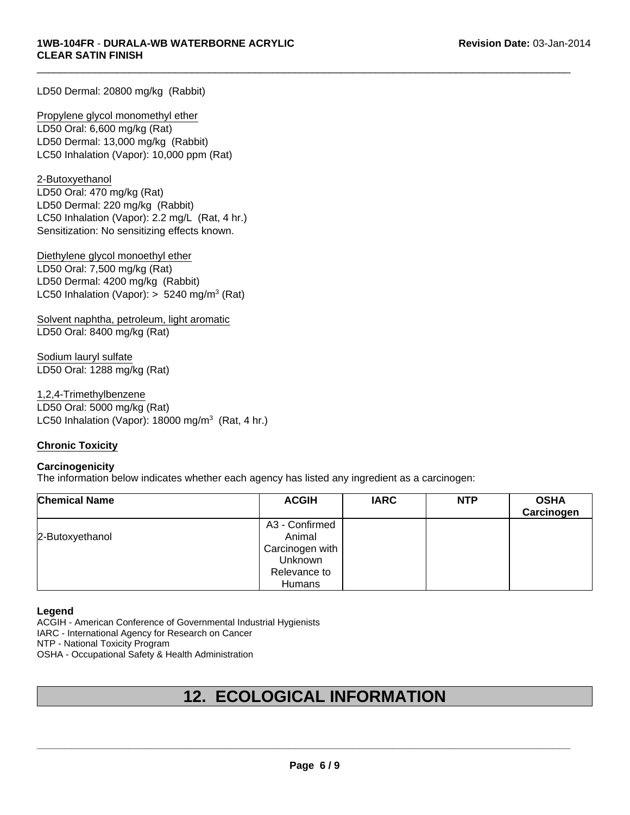LD50 Dermal: 20800 mg/kg (Rabbit)

LD50 Dermal: 13,000 mg/kg (Rabbit) LC50 Inhalation (Vapor): 10,000 ppm (Rat) Propylene glycol monomethyl ether LD50 Oral: 6,600 mg/kg (Rat)

Sensitization: No sensitizing effects known. 2-Butoxyethanol LD50 Oral: 470 mg/kg (Rat) LD50 Dermal: 220 mg/kg (Rabbit) LC50 Inhalation (Vapor): 2.2 mg/L (Rat, 4 hr.)

Diethylene glycol monoethyl ether LD50 Oral: 7,500 mg/kg (Rat) LD50 Dermal: 4200 mg/kg (Rabbit) LC50 Inhalation (Vapor):  $> 5240$  mg/m<sup>3</sup> (Rat)

Solvent naphtha, petroleum, light aromatic LD50 Oral: 8400 mg/kg (Rat)

Sodium lauryl sulfate LD50 Oral: 1288 mg/kg (Rat)

LC50 Inhalation (Vapor):  $18000 \text{ mg/m}^3$  (Rat, 4 hr.) 1,2,4-Trimethylbenzene LD50 Oral: 5000 mg/kg (Rat)

#### **Chronic Toxicity**

#### **Carcinogenicity**

The information below indicates whether each agency has listed any ingredient as a carcinogen:

| <b>Chemical Name</b> | <b>ACGIH</b>    | <b>IARC</b> | <b>NTP</b> | <b>OSHA</b><br>Carcinogen |
|----------------------|-----------------|-------------|------------|---------------------------|
|                      | A3 - Confirmed  |             |            |                           |
| 2-Butoxyethanol      | Animal          |             |            |                           |
|                      | Carcinogen with |             |            |                           |
|                      | <b>Unknown</b>  |             |            |                           |
|                      | Relevance to    |             |            |                           |
|                      | Humans          |             |            |                           |

 $\Box$ 

#### **Legend**

ACGIH - American Conference of Governmental Industrial Hygienists

IARC - International Agency for Research on Cancer

NTP - National Toxicity Program

OSHA - Occupational Safety & Health Administration

# **12. ECOLOGICAL INFORMATION**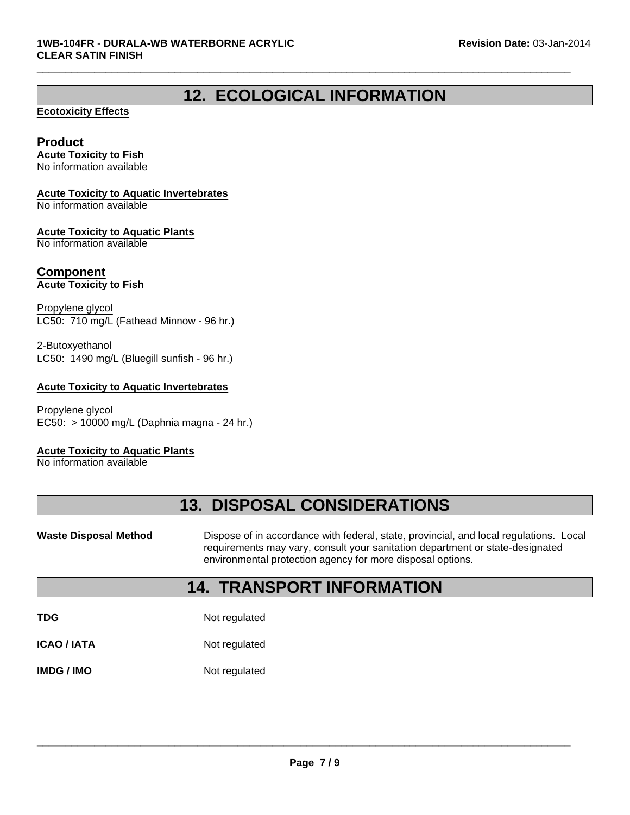# **12. ECOLOGICAL INFORMATION**

 $\Box$ 

#### **Ecotoxicity Effects**

### **Product**

**Acute Toxicity to Fish** No information available

#### **Acute Toxicity to Aquatic Invertebrates**

No information available

#### **Acute Toxicity to Aquatic Plants**

No information available

#### **Component Acute Toxicity to Fish**

Propylene glycol LC50: 710 mg/L (Fathead Minnow - 96 hr.)

LC50: 1490 mg/L (Bluegill sunfish - 96 hr.) 2-Butoxyethanol

#### **Acute Toxicity to Aquatic Invertebrates**

EC50: > 10000 mg/L (Daphnia magna - 24 hr.) Propylene glycol

#### **Acute Toxicity to Aquatic Plants**

No information available

# **13. DISPOSAL CONSIDERATIONS**

Waste Disposal Method **Dispose of in accordance with federal, state, provincial, and local regulations. Local** requirements may vary, consult your sanitation department or state-designated environmental protection agency for more disposal options.

## **14. TRANSPORT INFORMATION**

**TDG** Not regulated

**ICAO / IATA** Not regulated

**IMDG / IMO** Not regulated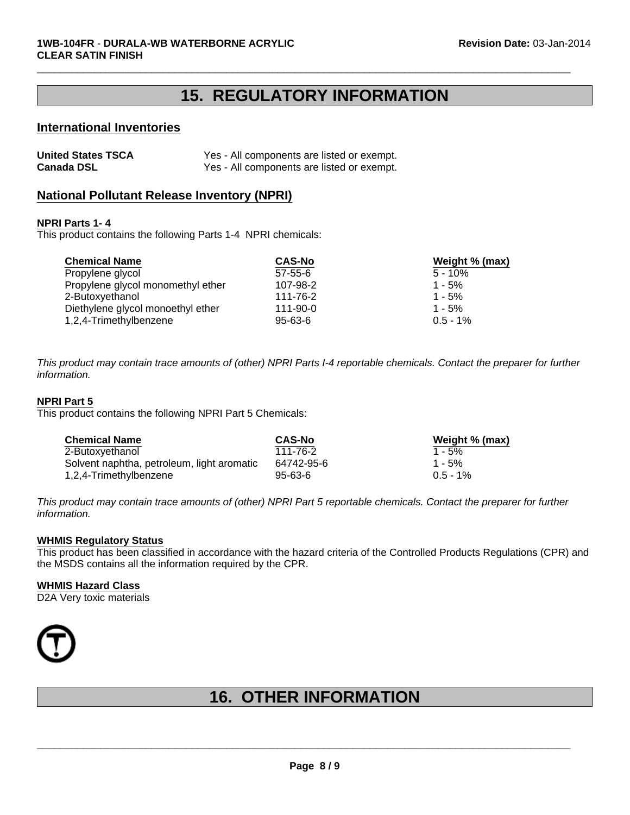# **15. REGULATORY INFORMATION**

 $\Box$ 

#### **International Inventories**

| <b>United States TSCA</b> | Yes - All components are listed or exempt. |
|---------------------------|--------------------------------------------|
| <b>Canada DSL</b>         | Yes - All components are listed or exempt. |

#### **National Pollutant Release Inventory (NPRI)**

#### **NPRI Parts 1- 4**

This product contains the following Parts 1-4 NPRI chemicals:

| <b>Chemical Name</b>              | <b>CAS-No</b>  | Weight % (max) |
|-----------------------------------|----------------|----------------|
| Propylene glycol                  | $57 - 55 - 6$  | $5 - 10\%$     |
| Propylene glycol monomethyl ether | 107-98-2       | $1 - 5%$       |
| 2-Butoxyethanol                   | 111-76-2       | $1 - 5%$       |
| Diethylene glycol monoethyl ether | $111 - 90 - 0$ | $1 - 5%$       |
| 1,2,4-Trimethylbenzene            | $95 - 63 - 6$  | $0.5 - 1\%$    |

*This product may contain trace amounts of (other) NPRI Parts I-4 reportable chemicals. Contact the preparer for further information.*

#### **NPRI Part 5**

This product contains the following NPRI Part 5 Chemicals:

| <b>Chemical Name</b>                       | <b>CAS-No</b> | Weight % (max) |
|--------------------------------------------|---------------|----------------|
| 2-Butoxyethanol                            | 111-76-2      | $1 - 5%$       |
| Solvent naphtha, petroleum, light aromatic | 64742-95-6    | $1 - 5%$       |
| 1,2,4-Trimethylbenzene                     | $95 - 63 - 6$ | $0.5 - 1%$     |

*This product may contain trace amounts of (other) NPRI Part 5 reportable chemicals. Contact the preparer for further information.*

#### **WHMIS Regulatory Status**

This product has been classified in accordance with the hazard criteria of the Controlled Products Regulations (CPR) and the MSDS contains all the information required by the CPR.

#### **WHMIS Hazard Class**

D2A Very toxic materials



# **16. OTHER INFORMATION**